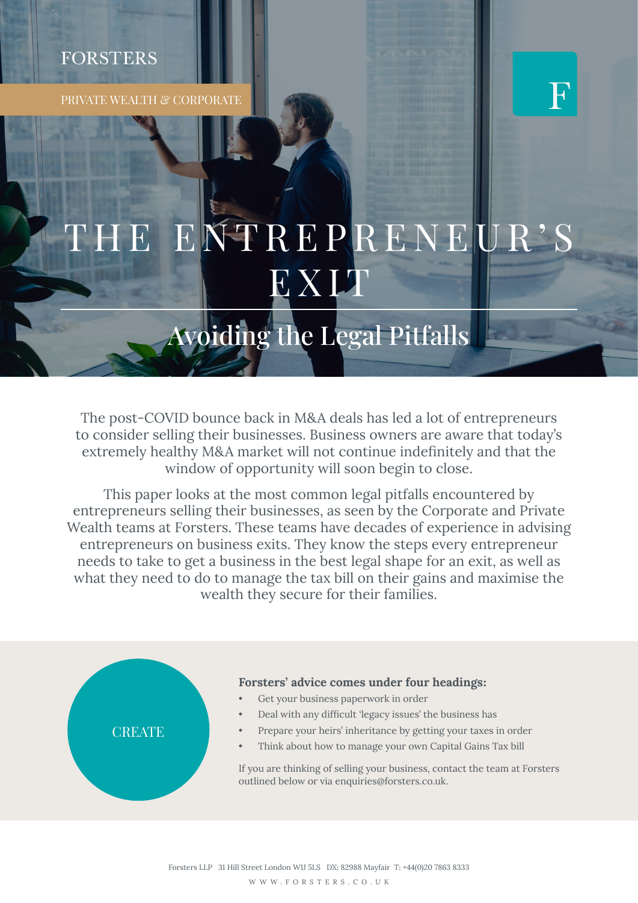# **FORSTERS**

PRIVATE WEALTH & CORPORATE



# ENTREPRENEUR'S EXIT

Avoiding the Legal Pitfalls

The post-COVID bounce back in M&A deals has led a lot of entrepreneurs to consider selling their businesses. Business owners are aware that today's extremely healthy M&A market will not continue indefinitely and that the window of opportunity will soon begin to close.

This paper looks at the most common legal pitfalls encountered by entrepreneurs selling their businesses, as seen by the Corporate and Private Wealth teams at Forsters. These teams have decades of experience in advising entrepreneurs on business exits. They know the steps every entrepreneur needs to take to get a business in the best legal shape for an exit, as well as what they need to do to manage the tax bill on their gains and maximise the wealth they secure for their families.



#### Forsters' advice comes under four headings**:**

- Get your business paperwork in order
- Deal with any difficult 'legacy issues' the business has
- Prepare your heirs' inheritance by getting your taxes in order
- Think about how to manage your own Capital Gains Tax bill

If you are thinking of selling your business, contact the team at Forsters outlined below or via enquiries@forsters.co.uk.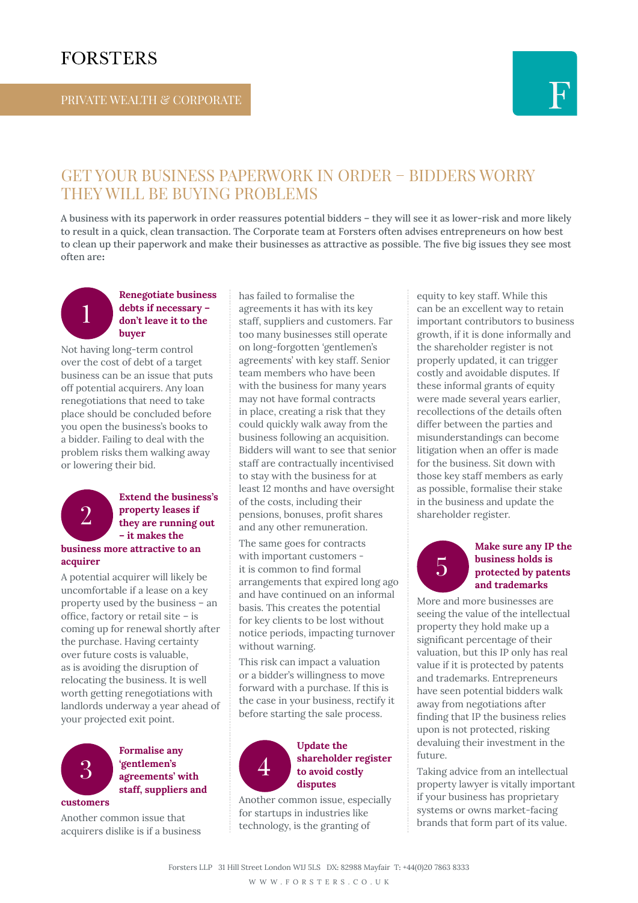# **FORSTERS**



## GET YOUR BUSINESS PAPERWORK IN ORDER – BIDDERS WORRY THEY WILL BE BUYING PROBLEMS

A business with its paperwork in order reassures potential bidders – they will see it as lower-risk and more likely to result in a quick, clean transaction. The Corporate team at Forsters often advises entrepreneurs on how best to clean up their paperwork and make their businesses as attractive as possible. The five big issues they see most often are**:**

#### Renegotiate business debts if necessary – don't leave it to the buyer

Not having long-term control over the cost of debt of a target business can be an issue that puts off potential acquirers. Any loan renegotiations that need to take place should be concluded before you open the business's books to a bidder. Failing to deal with the problem risks them walking away or lowering their bid.



1

## Extend the business's property leases if they are running out – it makes the

#### business more attractive to an acquirer

A potential acquirer will likely be uncomfortable if a lease on a key property used by the business – an office, factory or retail site – is coming up for renewal shortly after the purchase. Having certainty over future costs is valuable, as is avoiding the disruption of relocating the business. It is well worth getting renegotiations with landlords underway a year ahead of your projected exit point.



### Formalise any 'gentlemen's agreements' with staff, suppliers and

Another common issue that acquirers dislike is if a business has failed to formalise the agreements it has with its key staff, suppliers and customers. Far too many businesses still operate on long-forgotten 'gentlemen's agreements' with key staff. Senior team members who have been with the business for many years may not have formal contracts in place, creating a risk that they could quickly walk away from the business following an acquisition. Bidders will want to see that senior staff are contractually incentivised to stay with the business for at least 12 months and have oversight of the costs, including their pensions, bonuses, profit shares and any other remuneration.

The same goes for contracts with important customers it is common to find formal arrangements that expired long ago and have continued on an informal basis. This creates the potential for key clients to be lost without notice periods, impacting turnover without warning.

This risk can impact a valuation or a bidder's willingness to move forward with a purchase. If this is the case in your business, rectify it before starting the sale process.



#### Update the shareholder register to avoid costly disputes

Another common issue, especially for startups in industries like technology, is the granting of

equity to key staff. While this can be an excellent way to retain important contributors to business growth, if it is done informally and the shareholder register is not properly updated, it can trigger costly and avoidable disputes. If these informal grants of equity were made several years earlier, recollections of the details often differ between the parties and misunderstandings can become litigation when an offer is made for the business. Sit down with those key staff members as early as possible, formalise their stake in the business and update the shareholder register.

5

#### Make sure any IP the business holds is protected by patents and trademarks

More and more businesses are seeing the value of the intellectual property they hold make up a significant percentage of their valuation, but this IP only has real value if it is protected by patents and trademarks. Entrepreneurs have seen potential bidders walk away from negotiations after finding that IP the business relies upon is not protected, risking devaluing their investment in the future.

Taking advice from an intellectual property lawyer is vitally important if your business has proprietary systems or owns market-facing brands that form part of its value.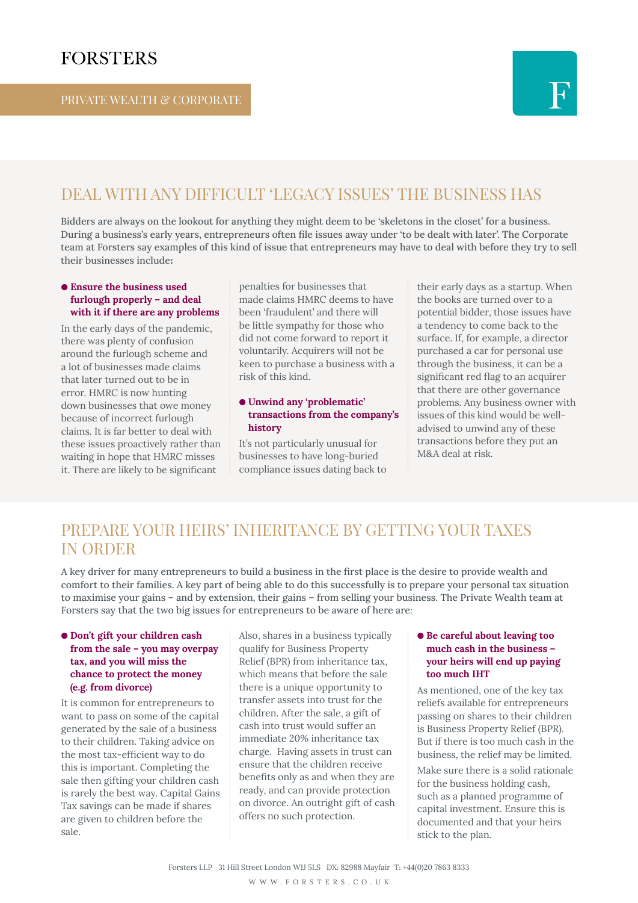

## DEAL WITH ANY DIFFICULT 'LEGACY ISSUES' THE BUSINESS HAS

Bidders are always on the lookout for anything they might deem to be 'skeletons in the closet' for a business. During a business's early years, entrepreneurs often file issues away under 'to be dealt with later'. The Corporate team at Forsters say examples of this kind of issue that entrepreneurs may have to deal with before they try to sell their businesses include**:**

#### ● Ensure the business used furlough properly – and deal with it if there are any problems

In the early days of the pandemic, there was plenty of confusion around the furlough scheme and a lot of businesses made claims that later turned out to be in error. HMRC is now hunting down businesses that owe money because of incorrect furlough claims. It is far better to deal with these issues proactively rather than waiting in hope that HMRC misses it. There are likely to be significant

penalties for businesses that made claims HMRC deems to have been 'fraudulent' and there will be little sympathy for those who did not come forward to report it voluntarily. Acquirers will not be keen to purchase a business with a risk of this kind.

#### ● Unwind any 'problematic' transactions from the company's history

It's not particularly unusual for businesses to have long-buried compliance issues dating back to their early days as a startup. When the books are turned over to a potential bidder, those issues have a tendency to come back to the surface. If, for example, a director purchased a car for personal use through the business, it can be a significant red flag to an acquirer that there are other governance problems. Any business owner with issues of this kind would be welladvised to unwind any of these transactions before they put an M&A deal at risk.

## PREPARE YOUR HEIRS' INHERITANCE BY GETTING YOUR TAXES IN ORDER

A key driver for many entrepreneurs to build a business in the first place is the desire to provide wealth and comfort to their families. A key part of being able to do this successfully is to prepare your personal tax situation to maximise your gains – and by extension, their gains – from selling your business. The Private Wealth team at Forsters say that the two big issues for entrepreneurs to be aware of here are:

#### ● Don't gift your children cash from the sale – you may overpay tax, and you will miss the chance to protect the money (e.g. from divorce)

It is common for entrepreneurs to want to pass on some of the capital generated by the sale of a business to their children. Taking advice on the most tax-efficient way to do this is important. Completing the sale then gifting your children cash is rarely the best way. Capital Gains Tax savings can be made if shares are given to children before the sale.

Also, shares in a business typically qualify for Business Property Relief (BPR) from inheritance tax, which means that before the sale there is a unique opportunity to transfer assets into trust for the children. After the sale, a gift of cash into trust would suffer an immediate 20% inheritance tax charge. Having assets in trust can ensure that the children receive benefits only as and when they are ready, and can provide protection on divorce. An outright gift of cash offers no such protection.

#### ● Be careful about leaving too much cash in the business – your heirs will end up paying too much IHT

As mentioned, one of the key tax reliefs available for entrepreneurs passing on shares to their children is Business Property Relief (BPR). But if there is too much cash in the business, the relief may be limited. Make sure there is a solid rationale for the business holding cash,

such as a planned programme of capital investment. Ensure this is documented and that your heirs stick to the plan.